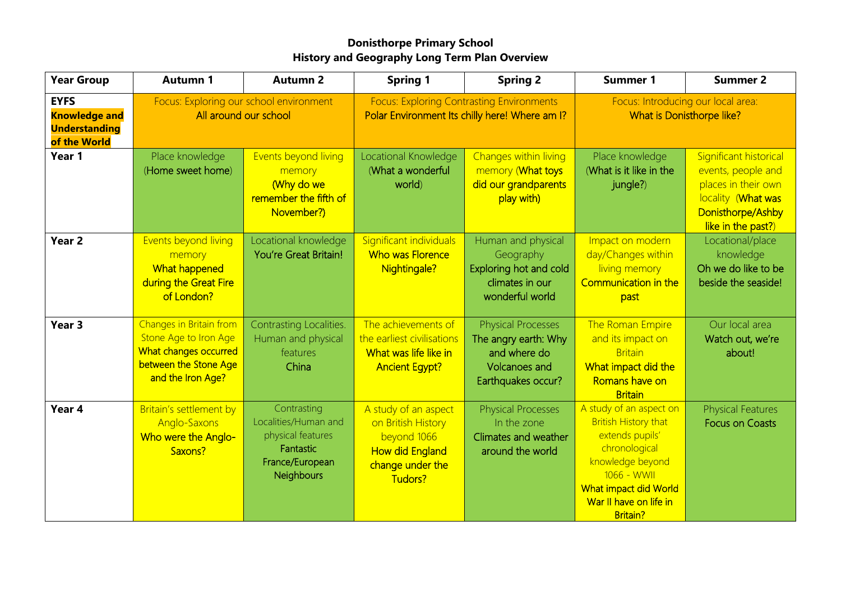## **Donisthorpe Primary School History and Geography Long Term Plan Overview**

| <b>Year Group</b>                                                           | <b>Autumn 1</b>                                                                                                         | <b>Autumn 2</b>                                                                                        | <b>Spring 1</b>                                                                                                    | <b>Spring 2</b>                                                                                                 | <b>Summer 1</b>                                                                                                                                                                                     | <b>Summer 2</b>                                                                                                                      |
|-----------------------------------------------------------------------------|-------------------------------------------------------------------------------------------------------------------------|--------------------------------------------------------------------------------------------------------|--------------------------------------------------------------------------------------------------------------------|-----------------------------------------------------------------------------------------------------------------|-----------------------------------------------------------------------------------------------------------------------------------------------------------------------------------------------------|--------------------------------------------------------------------------------------------------------------------------------------|
| <b>EYFS</b><br><b>Knowledge and</b><br><b>Understanding</b><br>of the World | Focus: Exploring our school environment<br>All around our school                                                        |                                                                                                        | <b>Focus: Exploring Contrasting Environments</b><br>Polar Environment Its chilly here! Where am I?                 |                                                                                                                 | Focus: Introducing our local area:<br>What is Donisthorpe like?                                                                                                                                     |                                                                                                                                      |
| Year 1                                                                      | Place knowledge<br>(Home sweet home)                                                                                    | Events beyond living<br>memory<br>(Why do we<br>remember the fifth of<br>November?)                    | Locational Knowledge<br>(What a wonderful<br>world)                                                                | Changes within living<br>memory (What toys<br>did our grandparents<br>play with)                                | Place knowledge<br>(What is it like in the<br>jungle?)                                                                                                                                              | Significant historical<br>events, people and<br>places in their own<br>locality (What was<br>Donisthorpe/Ashby<br>like in the past?) |
| Year <sub>2</sub>                                                           | Events beyond living<br>memory<br>What happened<br>during the Great Fire<br>of London?                                  | Locational knowledge<br><b>You're Great Britain!</b>                                                   | Significant individuals<br>Who was Florence<br>Nightingale?                                                        | Human and physical<br>Geography<br>Exploring hot and cold<br>climates in our<br>wonderful world                 | Impact on modern<br>day/Changes within<br>living memory<br>Communication in the<br>past                                                                                                             | Locational/place<br>knowledge<br>Oh we do like to be<br>beside the seaside!                                                          |
| Year 3                                                                      | Changes in Britain from<br>Stone Age to Iron Age<br>What changes occurred<br>between the Stone Age<br>and the Iron Age? | Contrasting Localities.<br>Human and physical<br>features<br>China                                     | The achievements of<br>the earliest civilisations<br>What was life like in<br><b>Ancient Egypt?</b>                | <b>Physical Processes</b><br>The angry earth: Why<br>and where do<br><b>Volcanoes and</b><br>Earthquakes occur? | The Roman Empire<br>and its impact on<br><b>Britain</b><br>What impact did the<br>Romans have on<br><b>Britain</b>                                                                                  | Our local area<br>Watch out, we're<br>about!                                                                                         |
| Year 4                                                                      | Britain's settlement by<br>Anglo-Saxons<br>Who were the Anglo-<br>Saxons?                                               | Contrasting<br>Localities/Human and<br>physical features<br>Fantastic<br>France/European<br>Neighbours | A study of an aspect<br>on British History<br>beyond 1066<br><b>How did England</b><br>change under the<br>Tudors? | <b>Physical Processes</b><br>In the zone<br>Climates and weather<br>around the world                            | A study of an aspect on<br><b>British History that</b><br>extends pupils'<br>chronological<br>knowledge beyond<br>1066 - WWII<br>What impact did World<br>War II have on life in<br><b>Britain?</b> | <b>Physical Features</b><br><b>Focus on Coasts</b>                                                                                   |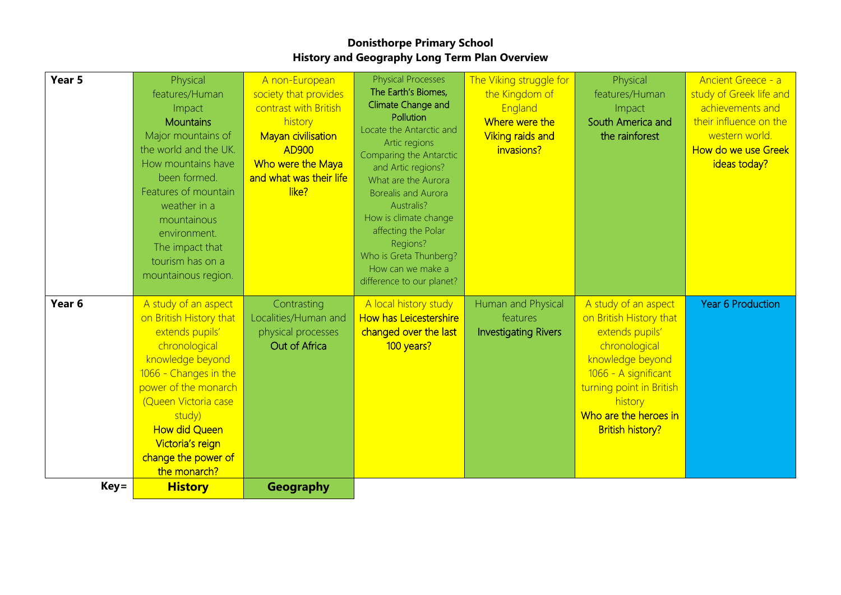## **Donisthorpe Primary School History and Geography Long Term Plan Overview**

| Year 5            | Physical<br>features/Human<br>Impact<br><b>Mountains</b><br>Major mountains of<br>the world and the UK.<br>How mountains have<br>been formed.<br>Features of mountain<br>weather in a<br>mountainous<br>environment.<br>The impact that<br>tourism has on a<br>mountainous region. | A non-European<br>society that provides<br>contrast with British<br>history<br><b>Mayan civilisation</b><br><b>AD900</b><br>Who were the Maya<br>and what was their life<br>like? | <b>Physical Processes</b><br>The Earth's Biomes,<br>Climate Change and<br>Pollution<br>Locate the Antarctic and<br>Artic regions<br>Comparing the Antarctic<br>and Artic regions?<br>What are the Aurora<br><b>Borealis and Aurora</b><br>Australis?<br>How is climate change<br>affecting the Polar<br>Regions?<br>Who is Greta Thunberg?<br>How can we make a<br>difference to our planet? | The Viking struggle for<br>the Kingdom of<br>England<br>Where were the<br><b>Viking raids and</b><br>invasions? | Physical<br>features/Human<br>Impact<br>South America and<br>the rainforest                                                                                                                                                | Ancient Greece - a<br>study of Greek life and<br>achievements and<br>their influence on the<br>western world.<br>How do we use Greek<br>ideas today? |
|-------------------|------------------------------------------------------------------------------------------------------------------------------------------------------------------------------------------------------------------------------------------------------------------------------------|-----------------------------------------------------------------------------------------------------------------------------------------------------------------------------------|----------------------------------------------------------------------------------------------------------------------------------------------------------------------------------------------------------------------------------------------------------------------------------------------------------------------------------------------------------------------------------------------|-----------------------------------------------------------------------------------------------------------------|----------------------------------------------------------------------------------------------------------------------------------------------------------------------------------------------------------------------------|------------------------------------------------------------------------------------------------------------------------------------------------------|
| Year <sub>6</sub> | A study of an aspect<br>on British History that<br>extends pupils'<br>chronological<br>knowledge beyond<br>1066 - Changes in the<br>power of the monarch<br>(Queen Victoria case<br>study)<br><b>How did Queen</b><br>Victoria's reign<br>change the power of<br>the monarch?      | Contrasting<br>Localities/Human and<br>physical processes<br>Out of Africa                                                                                                        | A local history study<br><b>How has Leicestershire</b><br>changed over the last<br>100 years?                                                                                                                                                                                                                                                                                                | Human and Physical<br>features<br><b>Investigating Rivers</b>                                                   | A study of an aspect<br>on British History that<br>extends pupils'<br>chronological<br>knowledge beyond<br>1066 - A significant<br>turning point in British<br>history<br>Who are the heroes in<br><b>British history?</b> | <b>Year 6 Production</b>                                                                                                                             |
| Key=              | <b>History</b>                                                                                                                                                                                                                                                                     | <b>Geography</b>                                                                                                                                                                  |                                                                                                                                                                                                                                                                                                                                                                                              |                                                                                                                 |                                                                                                                                                                                                                            |                                                                                                                                                      |